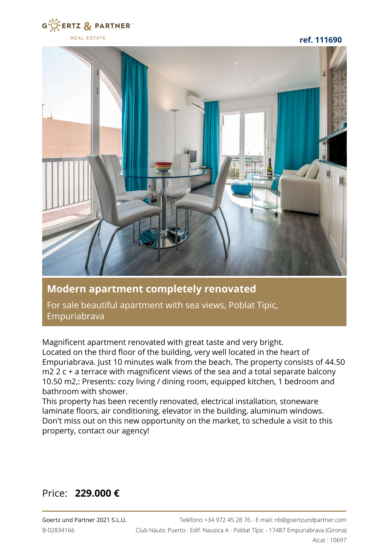

**ref. 111690**



## **Modern apartment completely renovated**

For sale beautiful apartment with sea views, Poblat Tipic, Empuriabrava

Magnificent apartment renovated with great taste and very bright. Located on the third floor of the building, very well located in the heart of Empuriabrava. Just 10 minutes walk from the beach. The property consists of 44.50 m2 2 c + a terrace with magnificent views of the sea and a total separate balcony 10.50 m2,: Presents: cozy living / dining room, equipped kitchen, 1 bedroom and bathroom with shower.

This property has been recently renovated, electrical installation, stoneware laminate floors, air conditioning, elevator in the building, aluminum windows. Don't miss out on this new opportunity on the market, to schedule a visit to this property, contact our agency!

## Price: **229.000 €**